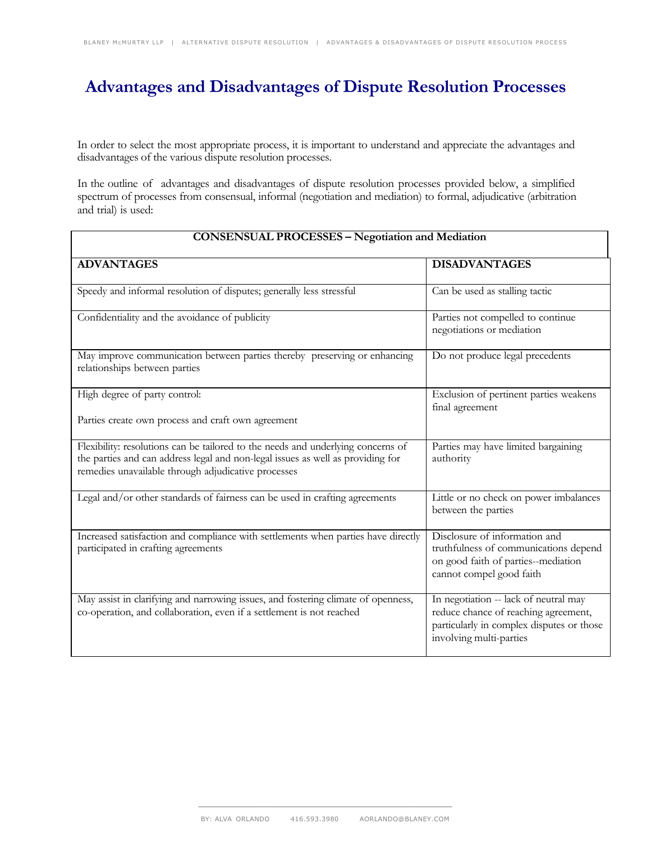## **Advantages and Disadvantages of Dispute Resolution Processes**

In order to select the most appropriate process, it is important to understand and appreciate the advantages and disadvantages of the various dispute resolution processes.

In the outline of advantages and disadvantages of dispute resolution processes provided below, a simplified spectrum of processes from consensual, informal (negotiation and mediation) to formal, adjudicative (arbitration and trial) is used:

| <b>CONSENSUAL PROCESSES - Negotiation and Mediation</b>                                                                                                                                                                    |                                                                                                                                                       |  |
|----------------------------------------------------------------------------------------------------------------------------------------------------------------------------------------------------------------------------|-------------------------------------------------------------------------------------------------------------------------------------------------------|--|
| <b>ADVANTAGES</b>                                                                                                                                                                                                          | <b>DISADVANTAGES</b>                                                                                                                                  |  |
| Speedy and informal resolution of disputes; generally less stressful                                                                                                                                                       | Can be used as stalling tactic                                                                                                                        |  |
| Confidentiality and the avoidance of publicity                                                                                                                                                                             | Parties not compelled to continue<br>negotiations or mediation                                                                                        |  |
| May improve communication between parties thereby preserving or enhancing<br>relationships between parties                                                                                                                 | Do not produce legal precedents                                                                                                                       |  |
| High degree of party control:                                                                                                                                                                                              | Exclusion of pertinent parties weakens<br>final agreement                                                                                             |  |
| Parties create own process and craft own agreement                                                                                                                                                                         |                                                                                                                                                       |  |
| Flexibility: resolutions can be tailored to the needs and underlying concerns of<br>the parties and can address legal and non-legal issues as well as providing for<br>remedies unavailable through adjudicative processes | Parties may have limited bargaining<br>authority                                                                                                      |  |
| Legal and/or other standards of fairness can be used in crafting agreements                                                                                                                                                | Little or no check on power imbalances<br>between the parties                                                                                         |  |
| Increased satisfaction and compliance with settlements when parties have directly<br>participated in crafting agreements                                                                                                   | Disclosure of information and<br>truthfulness of communications depend<br>on good faith of parties--mediation<br>cannot compel good faith             |  |
| May assist in clarifying and narrowing issues, and fostering climate of openness,<br>co-operation, and collaboration, even if a settlement is not reached                                                                  | In negotiation -- lack of neutral may<br>reduce chance of reaching agreement,<br>particularly in complex disputes or those<br>involving multi-parties |  |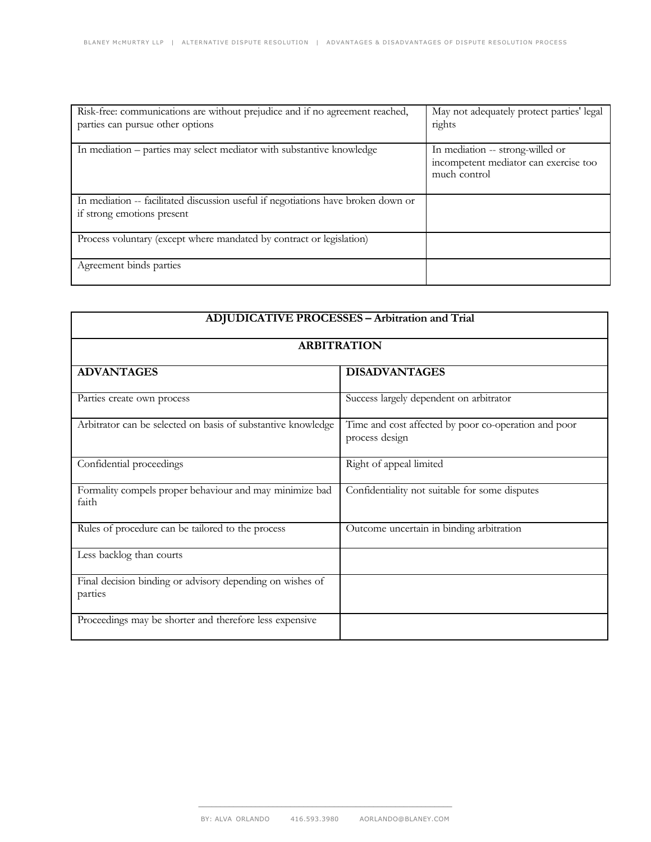| Risk-free: communications are without prejudice and if no agreement reached,<br>parties can pursue other options | May not adequately protect parties' legal<br>rights                                       |
|------------------------------------------------------------------------------------------------------------------|-------------------------------------------------------------------------------------------|
| In mediation – parties may select mediator with substantive knowledge                                            | In mediation -- strong-willed or<br>incompetent mediator can exercise too<br>much control |
| In mediation -- facilitated discussion useful if negotiations have broken down or<br>if strong emotions present  |                                                                                           |
| Process voluntary (except where mandated by contract or legislation)                                             |                                                                                           |
| Agreement binds parties                                                                                          |                                                                                           |

| <b>ADJUDICATIVE PROCESSES - Arbitration and Trial</b><br><b>ARBITRATION</b> |                                                                        |  |
|-----------------------------------------------------------------------------|------------------------------------------------------------------------|--|
|                                                                             |                                                                        |  |
| Parties create own process                                                  | Success largely dependent on arbitrator                                |  |
| Arbitrator can be selected on basis of substantive knowledge                | Time and cost affected by poor co-operation and poor<br>process design |  |
| Confidential proceedings                                                    | Right of appeal limited                                                |  |
| Formality compels proper behaviour and may minimize bad<br>faith            | Confidentiality not suitable for some disputes                         |  |
| Rules of procedure can be tailored to the process                           | Outcome uncertain in binding arbitration                               |  |
| Less backlog than courts                                                    |                                                                        |  |
| Final decision binding or advisory depending on wishes of<br>parties        |                                                                        |  |
| Proceedings may be shorter and therefore less expensive                     |                                                                        |  |